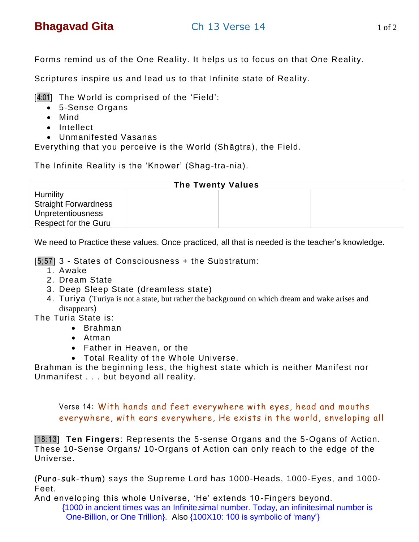Forms remind us of the One Reality. It helps us to focus on that One Reality.

Scriptures inspire us and lead us to that Infinite state of Reality.

[4:01] The World is comprised of the 'Field':

- 5-Sense Organs
- Mind
- Intellect
- Unmanifested Vasanas

Everything that you perceive is the World (Shāgtra), the Field.

The Infinite Reality is the 'Knower' (Shag-tra-nia).

| <b>The Twenty Values</b>    |  |  |
|-----------------------------|--|--|
| Humility                    |  |  |
| <b>Straight Forwardness</b> |  |  |
| <b>Unpretentiousness</b>    |  |  |
| <b>Respect for the Guru</b> |  |  |

We need to Practice these values. Once practiced, all that is needed is the teacher's knowledge.

[5;57] 3 - States of Consciousness + the Substratum:

- 1. Awake
- 2. Dream State
- 3. Deep Sleep State (dreamless state)
- 4. Turiya (Turiya is not a state, but rather the background on which dream and wake arises and disappears)

The Turia State is:

- Brahman
- Atman
- Father in Heaven, or the
- Total Reality of the Whole Universe.

Brahman is the beginning less, the highest state which is neither Manifest nor Unmanifest . . . but beyond all reality.

Verse 14: With hands and feet everywhere with eyes, head and mouths everywhere, with ears everywhere, He exists in the world, enveloping all

[18:13] **Ten Fingers**: Represents the 5-sense Organs and the 5-Ogans of Action. These 10-Sense Organs/ 10-Organs of Action can only reach to the edge of the Universe.

(Pura-suk-thum) says the Supreme Lord has 1000-Heads, 1000-Eyes, and 1000- Feet.

And enveloping this whole Universe, 'He' extends 10 -Fingers beyond.

{1000 in ancient times was an Infinite.simal number. Today, an infinitesimal number is One-Billion, or One Trillion}. Also {100X10: 100 is symbolic of 'many'}